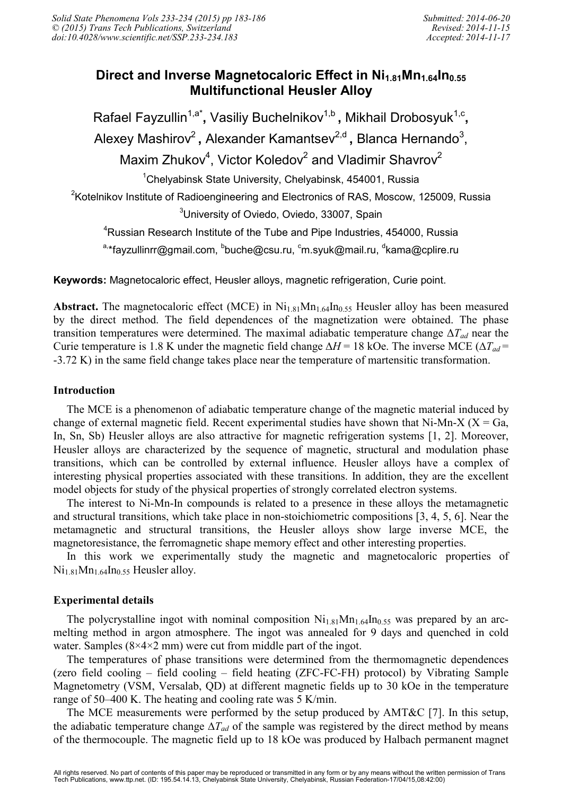# **Direct and Inverse Magnetocaloric Effect in Ni1.81Mn1.64In0.55 Multifunctional Heusler Alloy**

Rafael Fayzullin<sup>1,a\*</sup>, Vasiliy Buchelnikov<sup>1,b</sup>, Mikhail Drobosyuk<sup>1,c</sup>, Alexey Mashirov<sup>2</sup>, Alexander Kamantsev<sup>2,d</sup>, Blanca Hernando<sup>3</sup>, Maxim Zhukov<sup>4</sup>, Victor Koledov<sup>2</sup> and Vladimir Shavrov<sup>2</sup> <sup>1</sup>Chelyabinsk State University, Chelyabinsk, 454001, Russia <sup>2</sup>Kotelnikov Institute of Radioengineering and Electronics of RAS, Moscow, 125009, Russia <sup>3</sup>University of Oviedo, Oviedo, 33007, Spain <sup>4</sup>Russian Research Institute of the Tube and Pipe Industries, 454000, Russia

<sup>a,</sup>\*fayzullinrr@gmail.com, <sup>b</sup>buche@csu.ru, <sup>c</sup>m.syuk@mail.ru, <sup>d</sup>kama@cplire.ru

**Keywords:** Magnetocaloric effect, Heusler alloys, magnetic refrigeration, Curie point.

**Abstract.** The magnetocaloric effect (MCE) in  $Ni<sub>1.81</sub>Mn<sub>1.64</sub>In<sub>0.55</sub>$  Heusler alloy has been measured by the direct method. The field dependences of the magnetization were obtained. The phase transition temperatures were determined. The maximal adiabatic temperature change ∆*Tad* near the Curie temperature is 1.8 K under the magnetic field change ∆*H* = 18 kOe. The inverse MCE (∆*Tad* = -3.72 K) in the same field change takes place near the temperature of martensitic transformation.

### **Introduction**

The MCE is a phenomenon of adiabatic temperature change of the magnetic material induced by change of external magnetic field. Recent experimental studies have shown that Ni-Mn-X ( $X = Ga$ , In, Sn, Sb) Heusler alloys are also attractive for magnetic refrigeration systems [1, 2]. Moreover, Heusler alloys are characterized by the sequence of magnetic, structural and modulation phase transitions, which can be controlled by external influence. Heusler alloys have a complex of interesting physical properties associated with these transitions. In addition, they are the excellent model objects for study of the physical properties of strongly correlated electron systems.

The interest to Ni-Mn-In compounds is related to a presence in these alloys the metamagnetic and structural transitions, which take place in non-stoichiometric compositions [3, 4, 5, 6]. Near the metamagnetic and structural transitions, the Heusler alloys show large inverse MCE, the magnetoresistance, the ferromagnetic shape memory effect and other interesting properties.

In this work we experimentally study the magnetic and magnetocaloric properties of  $Ni<sub>1.81</sub>Mn<sub>1.64</sub>In<sub>0.55</sub> Heusler alloy.$ 

## **Experimental details**

The polycrystalline ingot with nominal composition  $Ni<sub>1.81</sub>Mn<sub>1.64</sub>In<sub>0.55</sub>$  was prepared by an arcmelting method in argon atmosphere. The ingot was annealed for 9 days and quenched in cold water. Samples  $(8\times4\times2$  mm) were cut from middle part of the ingot.

The temperatures of phase transitions were determined from the thermomagnetic dependences (zero field cooling – field cooling – field heating (ZFC-FC-FH) protocol) by Vibrating Sample Magnetometry (VSM, Versalab, QD) at different magnetic fields up to 30 kOe in the temperature range of 50–400 K. The heating and cooling rate was 5 K/min.

The MCE measurements were performed by the setup produced by AMT&C [7]. In this setup, the adiabatic temperature change ∆*Tad* of the sample was registered by the direct method by means of the thermocouple. The magnetic field up to 18 kOe was produced by Halbach permanent magnet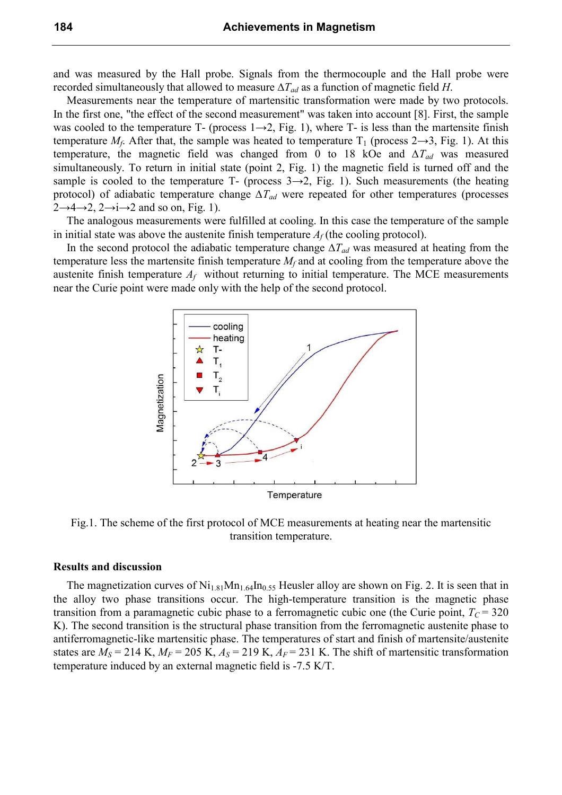and was measured by the Hall probe. Signals from the thermocouple and the Hall probe were recorded simultaneously that allowed to measure ∆*Tad* as a function of magnetic field *H*.

Measurements near the temperature of martensitic transformation were made by two protocols. In the first one, "the effect of the second measurement" was taken into account [8]. First, the sample was cooled to the temperature T- (process  $1\rightarrow 2$ , Fig. 1), where T- is less than the martensite finish temperature  $M_f$ . After that, the sample was heated to temperature  $T_1$  (process 2 $\rightarrow$ 3, Fig. 1). At this temperature, the magnetic field was changed from 0 to 18 kOe and *∆Tad* was measured simultaneously. To return in initial state (point 2, Fig. 1) the magnetic field is turned off and the sample is cooled to the temperature T- (process  $3\rightarrow 2$ , Fig. 1). Such measurements (the heating protocol) of adiabatic temperature change *∆Tad* were repeated for other temperatures (processes  $2\rightarrow 4\rightarrow 2$ ,  $2\rightarrow i\rightarrow 2$  and so on, Fig. 1).

The analogous measurements were fulfilled at cooling. In this case the temperature of the sample in initial state was above the austenite finish temperature  $A_f$  (the cooling protocol).

In the second protocol the adiabatic temperature change ∆*Tad* was measured at heating from the temperature less the martensite finish temperature *M<sup>f</sup>* and at cooling from the temperature above the austenite finish temperature  $A_f$  without returning to initial temperature. The MCE measurements near the Curie point were made only with the help of the second protocol.



Fig.1. The scheme of the first protocol of MCE measurements at heating near the martensitic transition temperature.

#### **Results and discussion**

The magnetization curves of  $Ni<sub>1.81</sub>Mn<sub>1.64</sub>In<sub>0.55</sub> Heusler alloy are shown on Fig. 2. It is seen that in$ the alloy two phase transitions occur. The high-temperature transition is the magnetic phase transition from a paramagnetic cubic phase to a ferromagnetic cubic one (the Curie point,  $T_c = 320$ K). The second transition is the structural phase transition from the ferromagnetic austenite phase to antiferromagnetic-like martensitic phase. The temperatures of start and finish of martensite/austenite states are  $M_S = 214$  K,  $M_F = 205$  K,  $A_S = 219$  K,  $A_F = 231$  K. The shift of martensitic transformation temperature induced by an external magnetic field is -7.5 K/T.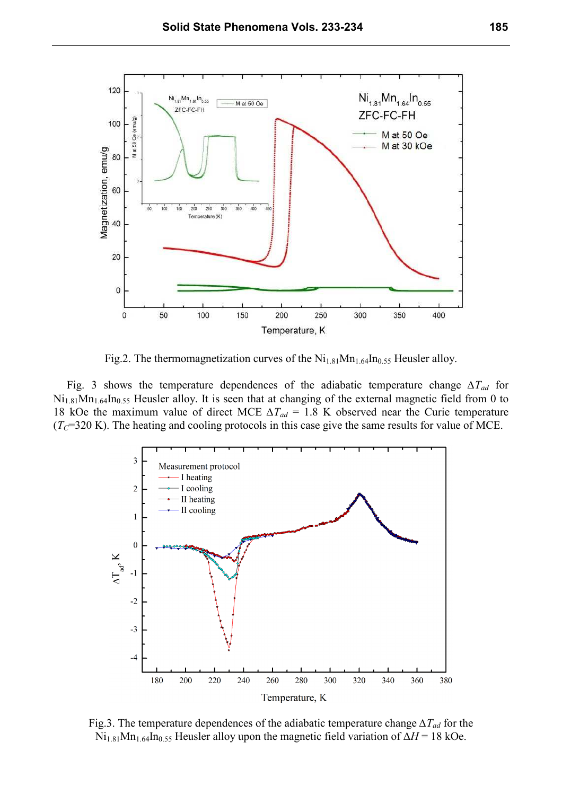

Fig.2. The thermomagnetization curves of the  $Ni<sub>1.81</sub>Mn<sub>1.64</sub>In<sub>0.55</sub> Heusler alloy.$ 

Fig. 3 shows the temperature dependences of the adiabatic temperature change *∆Tad* for  $Ni<sub>1.81</sub>Mn<sub>1.64</sub>In<sub>0.55</sub> Heusler alloy. It is seen that at changing of the external magnetic field from 0 to$ 18 kOe the maximum value of direct MCE *∆Tad* = 1.8 K observed near the Curie temperature  $(T<sub>C</sub>=320 \text{ K})$ . The heating and cooling protocols in this case give the same results for value of MCE.



Fig.3. The temperature dependences of the adiabatic temperature change *∆Tad* for the Ni1.81Mn1.64In0.55 Heusler alloy upon the magnetic field variation of ∆*H* = 18 kOe.